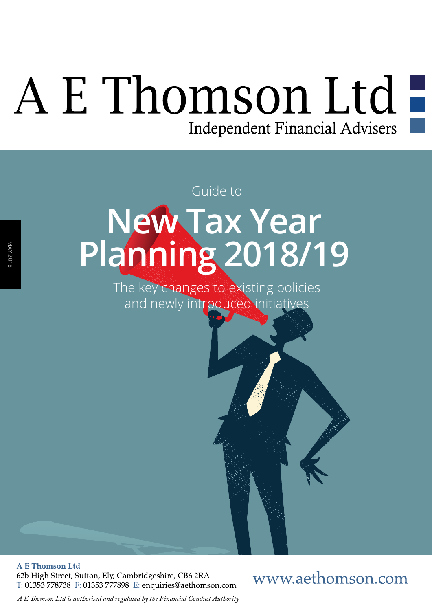# A E Thomson Ltd -Independent Financial Advisers

## **New Tax Year Planning 2018/19** Guide to

The key changes to existing policies and newly introduced initiatives

**A E Thomson Ltd** 62b High Street, Sutton, Ely, Cambridgeshire, CB6 2RA T: 01353 778738 F: 01353 777898 E: enquiries@aethomson.com

### www.aethomson.com

*A E Tomson Ltd is authorised and regulated by the Financial Conduct Authority*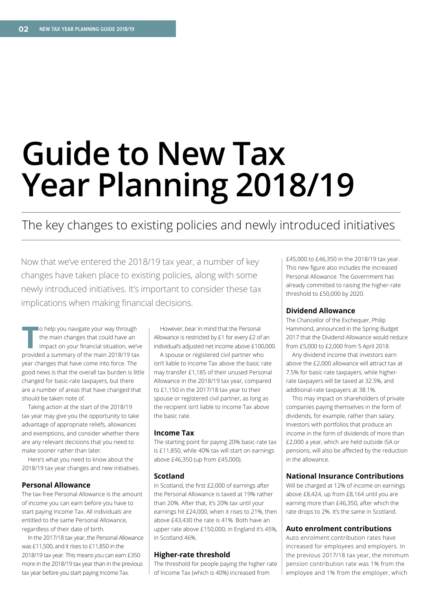## **Guide to New Tax Year Planning 2018/19**

### The key changes to existing policies and newly introduced initiatives

Now that we've entered the 2018/19 tax year, a number of key changes have taken place to existing policies, along with some newly introduced initiatives. It's important to consider these tax implications when making financial decisions.

**T**o help you navigate your way through the main changes that could have an impact on your fnancial situation, we've provided a summary of the main 2018/19 tax year changes that have come into force. The good news is that the overall tax burden is little changed for basic-rate taxpayers, but there are a number of areas that have changed that should be taken note of.

Taking action at the start of the 2018/19 tax year may give you the opportunity to take advantage of appropriate reliefs, allowances and exemptions, and consider whether there are any relevant decisions that you need to make sooner rather than later.

Here's what you need to know about the 2018/19 tax year changes and new initiatives.

#### **Personal Allowance**

The tax-free Personal Allowance is the amount of income you can earn before you have to start paying Income Tax. All individuals are entitled to the same Personal Allowance, regardless of their date of birth.

In the 2017/18 tax year, the Personal Allowance was £11,500, and it rises to £11,850 in the 2018/19 tax year. This means you can earn £350 more in the 2018/19 tax year than in the previous tax year before you start paying Income Tax.

However, bear in mind that the Personal Allowance is restricted by £1 for every £2 of an individual's adjusted net income above £100,000.

A spouse or registered civil partner who isn't liable to Income Tax above the basic rate may transfer £1,185 of their unused Personal Allowance in the 2018/19 tax year, compared to £1,150 in the 2017/18 tax year to their spouse or registered civil partner, as long as the recipient isn't liable to Income Tax above the basic rate.

#### **Income Tax**

The starting point for paying 20% basic-rate tax is £11,850, while 40% tax will start on earnings above £46,350 (up from £45,000).

#### **Scotland**

In Scotland, the frst £2,000 of earnings after the Personal Allowance is taxed at 19% rather than 20%. After that, it's 20% tax until your earnings hit £24,000, when it rises to 21%, then above £43,430 the rate is 41%. Both have an upper rate above £150,000; in England it's 45%, in Scotland 46%.

#### **Higher-rate threshold**

The threshold for people paying the higher rate of Income Tax (which is 40%) increased from

£45,000 to £46,350 in the 2018/19 tax year. This new figure also includes the increased Personal Allowance. The Government has already committed to raising the higher-rate threshold to £50,000 by 2020.

#### **Dividend Allowance**

The Chancellor of the Exchequer, Philip Hammond, announced in the Spring Budget 2017 that the Dividend Allowance would reduce from £5,000 to £2,000 from 5 April 2018.

Any dividend income that investors earn above the £2,000 allowance will attract tax at 7.5% for basic-rate taxpayers, while higherrate taxpayers will be taxed at 32.5%, and additional-rate taxpayers at 38.1%.

This may impact on shareholders of private companies paying themselves in the form of dividends, for example, rather than salary. Investors with portfolios that produce an income in the form of dividends of more than £2,000 a year, which are held outside ISA or pensions, will also be affected by the reduction in the allowance.

#### **National Insurance Contributions**

Will be charged at 12% of income on earnings above £8,424, up from £8,164 until you are earning more than £46,350, after which the rate drops to 2%. It's the same in Scotland.

#### **Auto enrolment contributions**

Auto enrolment contribution rates have increased for employees and employers. In the previous 2017/18 tax year, the minimum pension contribution rate was 1% from the employee and 1% from the employer, which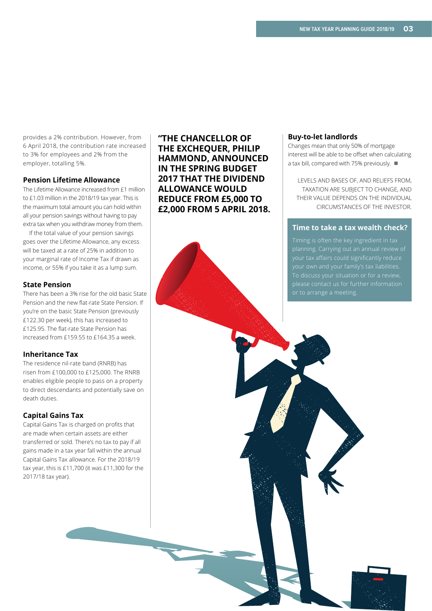provides a 2% contribution. However, from 6 April 2018, the contribution rate increased to 3% for employees and 2% from the employer, totalling 5%.

#### **Pension Lifetime Allowance**

The Lifetime Allowance increased from £1 million to £1.03 million in the 2018/19 tax year. This is the maximum total amount you can hold within all your pension savings without having to pay extra tax when you withdraw money from them.

If the total value of your pension savings goes over the Lifetime Allowance, any excess will be taxed at a rate of 25% in addition to your marginal rate of Income Tax if drawn as income, or 55% if you take it as a lump sum.

#### **State Pension**

There has been a 3% rise for the old basic State Pension and the new flat-rate State Pension. If you're on the basic State Pension (previously £122.30 per week), this has increased to £125.95. The fat-rate State Pension has increased from £159.55 to £164.35 a week.

#### **Inheritance Tax**

The residence nil-rate band (RNRB) has risen from £100,000 to £125,000. The RNRB enables eligible people to pass on a property to direct descendants and potentially save on death duties.

#### **Capital Gains Tax**

Capital Gains Tax is charged on profts that are made when certain assets are either transferred or sold. There's no tax to pay if all gains made in a tax year fall within the annual Capital Gains Tax allowance. For the 2018/19 tax year, this is £11,700 (it was £11,300 for the 2017/18 tax year).

**"THE CHANCELLOR OF THE EXCHEQUER, PHILIP HAMMOND, ANNOUNCED IN THE SPRING BUDGET 2017 THAT THE DIVIDEND ALLOWANCE WOULD REDUCE FROM £5,000 TO £2,000 FROM 5 APRIL 2018.**

#### **Buy-to-let landlords**

Changes mean that only 50% of mortgage interest will be able to be offset when calculating a tax bill, compared with 75% previously.  $\blacksquare$ 

LEVELS AND BASES OF, AND RELIEFS FROM, TAXATION ARE SUBJECT TO CHANGE, AND THEIR VALUE DEPENDS ON THE INDIVIDUAL CIRCUMSTANCES OF THE INVESTOR.

#### **Time to take a tax wealth check?**

your own and your family's tax liabilities. To discuss your situation or for a review, please contact us for further information